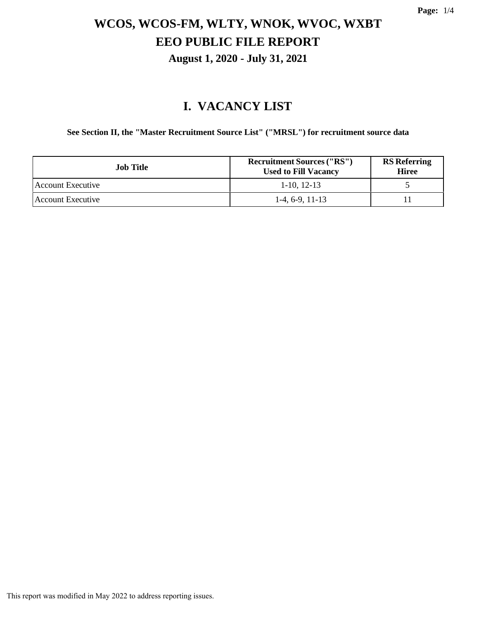#### **I. VACANCY LIST**

**See Section II, the "Master Recruitment Source List" ("MRSL") for recruitment source data**

| <b>Job Title</b>         | <b>Recruitment Sources ("RS")</b><br><b>Used to Fill Vacancy</b> | <b>RS</b> Referring<br><b>Hiree</b> |
|--------------------------|------------------------------------------------------------------|-------------------------------------|
| <b>Account Executive</b> | $1-10$ , 12-13                                                   |                                     |
| Account Executive        | $1-4, 6-9, 11-13$                                                |                                     |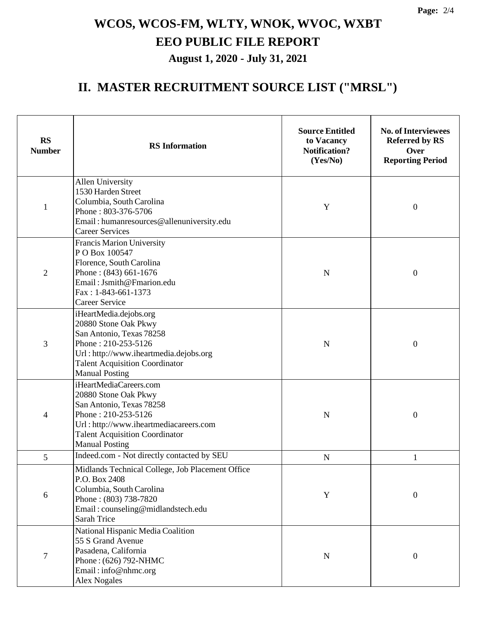#### **II. MASTER RECRUITMENT SOURCE LIST ("MRSL")**

| <b>RS</b><br><b>Number</b> | <b>RS</b> Information                                                                                                                                                                                         | <b>Source Entitled</b><br>to Vacancy<br><b>Notification?</b><br>(Yes/No) | <b>No. of Interviewees</b><br><b>Referred by RS</b><br>Over<br><b>Reporting Period</b> |
|----------------------------|---------------------------------------------------------------------------------------------------------------------------------------------------------------------------------------------------------------|--------------------------------------------------------------------------|----------------------------------------------------------------------------------------|
| $\mathbf{1}$               | Allen University<br>1530 Harden Street<br>Columbia, South Carolina<br>Phone: 803-376-5706<br>Email: humanresources@allenuniversity.edu<br><b>Career Services</b>                                              | Y                                                                        | $\boldsymbol{0}$                                                                       |
| $\overline{2}$             | Francis Marion University<br>PO Box 100547<br>Florence, South Carolina<br>Phone: (843) 661-1676<br>Email: Jsmith@Fmarion.edu<br>Fax: 1-843-661-1373<br><b>Career Service</b>                                  | N                                                                        | $\boldsymbol{0}$                                                                       |
| 3                          | iHeartMedia.dejobs.org<br>20880 Stone Oak Pkwy<br>San Antonio, Texas 78258<br>Phone: 210-253-5126<br>Url: http://www.iheartmedia.dejobs.org<br><b>Talent Acquisition Coordinator</b><br><b>Manual Posting</b> | $\mathbf N$                                                              | $\boldsymbol{0}$                                                                       |
| 4                          | iHeartMediaCareers.com<br>20880 Stone Oak Pkwy<br>San Antonio, Texas 78258<br>Phone: 210-253-5126<br>Url: http://www.iheartmediacareers.com<br><b>Talent Acquisition Coordinator</b><br><b>Manual Posting</b> | $\mathbf N$                                                              | $\boldsymbol{0}$                                                                       |
| 5                          | Indeed.com - Not directly contacted by SEU                                                                                                                                                                    | ${\bf N}$                                                                | 1                                                                                      |
| 6                          | Midlands Technical College, Job Placement Office<br>P.O. Box 2408<br>Columbia, South Carolina<br>Phone: (803) 738-7820<br>Email: counseling@midlandstech.edu<br>Sarah Trice                                   | Y                                                                        | $\boldsymbol{0}$                                                                       |
| $\boldsymbol{7}$           | National Hispanic Media Coalition<br>55 S Grand Avenue<br>Pasadena, California<br>Phone: (626) 792-NHMC<br>Email: info@nhmc.org<br><b>Alex Nogales</b>                                                        | N                                                                        | $\boldsymbol{0}$                                                                       |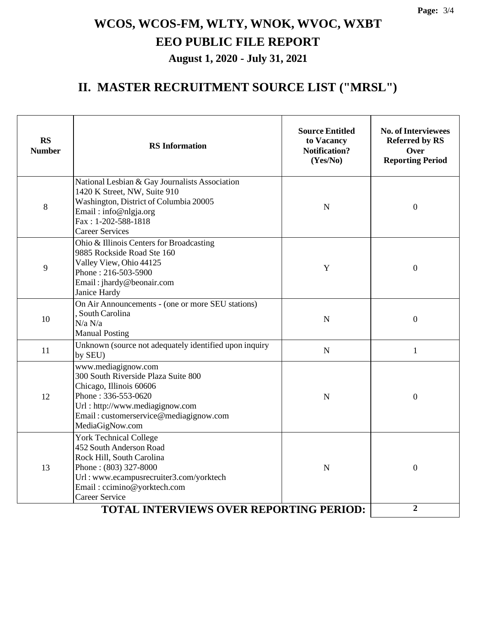#### **II. MASTER RECRUITMENT SOURCE LIST ("MRSL")**

| <b>RS</b><br><b>Number</b> | <b>Source Entitled</b><br>to Vacancy<br><b>RS</b> Information<br><b>Notification?</b><br>(Yes/No)                                                                                                                 |             | <b>No. of Interviewees</b><br><b>Referred by RS</b><br>Over<br><b>Reporting Period</b> |  |
|----------------------------|-------------------------------------------------------------------------------------------------------------------------------------------------------------------------------------------------------------------|-------------|----------------------------------------------------------------------------------------|--|
| 8                          | National Lesbian & Gay Journalists Association<br>1420 K Street, NW, Suite 910<br>Washington, District of Columbia 20005<br>Email: info@nlgja.org<br>Fax: 1-202-588-1818<br><b>Career Services</b>                | N           | $\mathbf{0}$                                                                           |  |
| 9                          | Ohio & Illinois Centers for Broadcasting<br>9885 Rockside Road Ste 160<br>Valley View, Ohio 44125<br>Y<br>Phone: 216-503-5900<br>Email: jhardy@beonair.com<br>Janice Hardy                                        |             | $\boldsymbol{0}$                                                                       |  |
| 10                         | On Air Announcements - (one or more SEU stations)<br>, South Carolina<br>N/a N/a<br><b>Manual Posting</b>                                                                                                         | $\mathbf N$ | $\overline{0}$                                                                         |  |
| 11                         | Unknown (source not adequately identified upon inquiry<br>by SEU)                                                                                                                                                 | $\mathbf N$ | $\mathbf{1}$                                                                           |  |
| 12                         | www.mediagignow.com<br>300 South Riverside Plaza Suite 800<br>Chicago, Illinois 60606<br>Phone: 336-553-0620<br>Url: http://www.mediagignow.com<br>Email: customerservice@mediagignow.com<br>MediaGigNow.com      | N           | $\boldsymbol{0}$                                                                       |  |
| 13                         | <b>York Technical College</b><br>452 South Anderson Road<br>Rock Hill, South Carolina<br>Phone: (803) 327-8000<br>Url: www.ecampusrecruiter3.com/yorktech<br>Email: ccimino@yorktech.com<br><b>Career Service</b> | $\mathbf N$ | $\overline{0}$                                                                         |  |
|                            | $\boldsymbol{2}$                                                                                                                                                                                                  |             |                                                                                        |  |